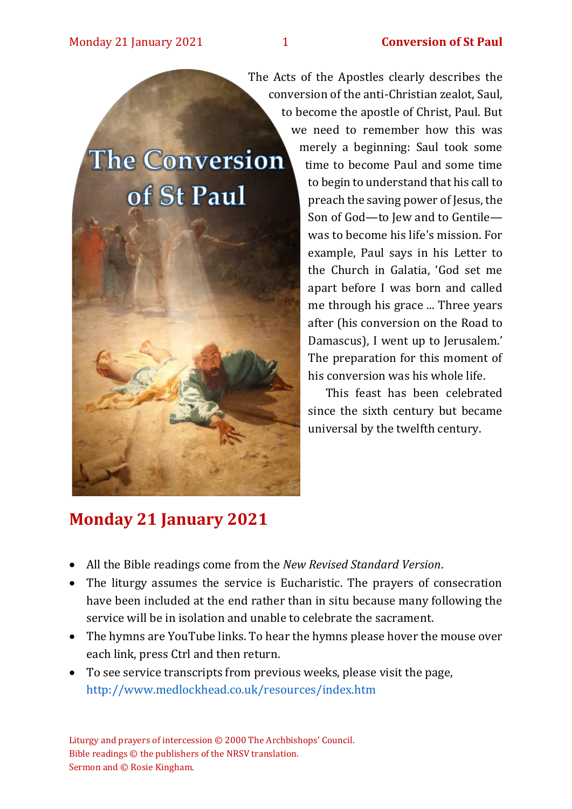**The Conversion** of St Paul



The Acts of the Apostles clearly describes the conversion of the anti-Christian zealot, Saul, to become the apostle of Christ, Paul. But we need to remember how this was merely a beginning: Saul took some time to become Paul and some time to begin to understand that his call to preach the saving power of Jesus, the Son of God—to Jew and to Gentile was to become his life's mission. For example, Paul says in his Letter to the Church in Galatia, 'God set me apart before I was born and called me through his grace ... Three years after (his conversion on the Road to Damascus), I went up to Jerusalem.' The preparation for this moment of his conversion was his whole life.

> This feast has been celebrated since the sixth century but became universal by the twelfth century.

# **Monday 21 January 2021**

- All the Bible readings come from the *New Revised Standard Version*.
- The liturgy assumes the service is Eucharistic. The prayers of consecration have been included at the end rather than in situ because many following the service will be in isolation and unable to celebrate the sacrament.
- The hymns are YouTube links. To hear the hymns please hover the mouse over each link, press Ctrl and then return.
- To see service transcripts from previous weeks, please visit the page, <http://www.medlockhead.co.uk/resources/index.htm>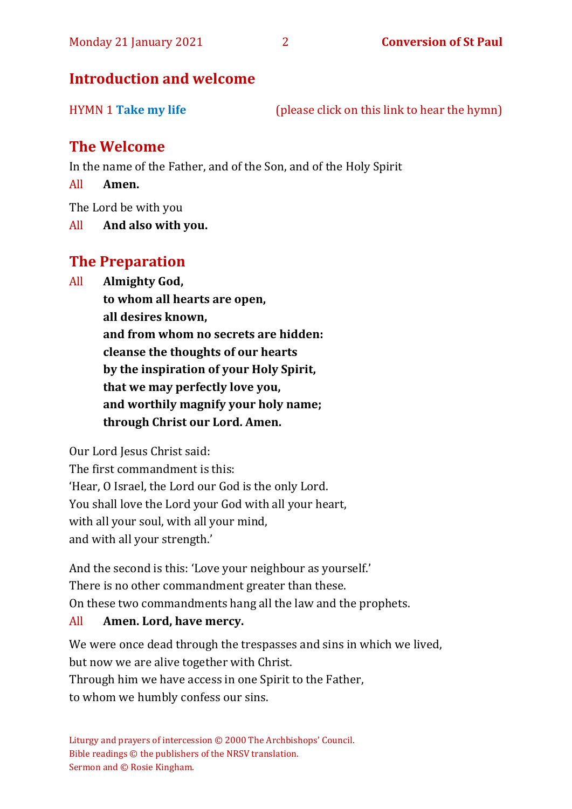#### **Introduction and welcome**

HYMN 1 **[Take my life](https://www.youtube.com/watch?v=Gf11rReeWIs)** (please click on this link to hear the hymn)

### **The Welcome**

In the name of the Father, and of the Son, and of the Holy Spirit

All **Amen.**

The Lord be with you

All **And also with you.**

### **The Preparation**

All **Almighty God,**

**to whom all hearts are open, all desires known, and from whom no secrets are hidden: cleanse the thoughts of our hearts by the inspiration of your Holy Spirit, that we may perfectly love you, and worthily magnify your holy name; through Christ our Lord. Amen.**

Our Lord Jesus Christ said:

The first commandment is this: 'Hear, O Israel, the Lord our God is the only Lord. You shall love the Lord your God with all your heart, with all your soul, with all your mind, and with all your strength.'

And the second is this: 'Love your neighbour as yourself.' There is no other commandment greater than these. On these two commandments hang all the law and the prophets.

#### All **Amen. Lord, have mercy.**

We were once dead through the trespasses and sins in which we lived, but now we are alive together with Christ. Through him we have access in one Spirit to the Father, to whom we humbly confess our sins.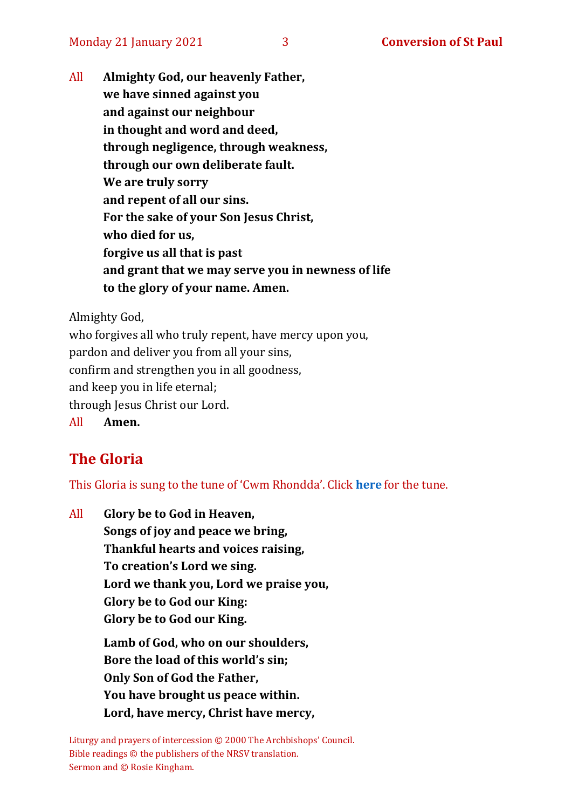All **Almighty God, our heavenly Father, we have sinned against you and against our neighbour in thought and word and deed, through negligence, through weakness, through our own deliberate fault. We are truly sorry and repent of all our sins. For the sake of your Son Jesus Christ, who died for us, forgive us all that is past and grant that we may serve you in newness of life to the glory of your name. Amen.**

Almighty God,

who forgives all who truly repent, have mercy upon you, pardon and deliver you from all your sins, confirm and strengthen you in all goodness, and keep you in life eternal; through Jesus Christ our Lord. All **Amen.**

# **The Gloria**

This Gloria is sung to the tune of 'Cwm Rhondda'. Click **[here](about:blank)** for the tune.

All **Glory be to God in Heaven, Songs of joy and peace we bring, Thankful hearts and voices raising, To creation's Lord we sing. Lord we thank you, Lord we praise you, Glory be to God our King: Glory be to God our King. Lamb of God, who on our shoulders,**

**Bore the load of this world's sin; Only Son of God the Father, You have brought us peace within. Lord, have mercy, Christ have mercy,**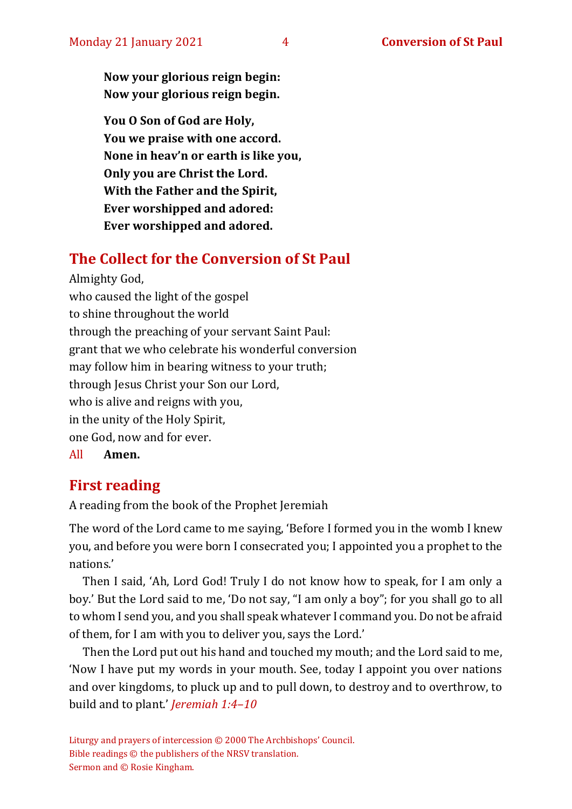**Now your glorious reign begin: Now your glorious reign begin.**

**You O Son of God are Holy, You we praise with one accord. None in heav'n or earth is like you, Only you are Christ the Lord. With the Father and the Spirit, Ever worshipped and adored: Ever worshipped and adored.**

# **The Collect for the Conversion of St Paul**

Almighty God, who caused the light of the gospel to shine throughout the world through the preaching of your servant Saint Paul: grant that we who celebrate his wonderful conversion may follow him in bearing witness to your truth; through Jesus Christ your Son our Lord, who is alive and reigns with you, in the unity of the Holy Spirit, one God, now and for ever.

All **Amen.**

# **First reading**

A reading from the book of the Prophet Jeremiah

The word of the Lord came to me saying, 'Before I formed you in the womb I knew you, and before you were born I consecrated you; I appointed you a prophet to the nations.'

Then I said, 'Ah, Lord God! Truly I do not know how to speak, for I am only a boy.' But the Lord said to me, 'Do not say, "I am only a boy"; for you shall go to all to whom I send you, and you shall speak whatever I command you. Do not be afraid of them, for I am with you to deliver you, says the Lord.'

Then the Lord put out his hand and touched my mouth; and the Lord said to me, 'Now I have put my words in your mouth. See, today I appoint you over nations and over kingdoms, to pluck up and to pull down, to destroy and to overthrow, to build and to plant.' *Jeremiah 1:4–10*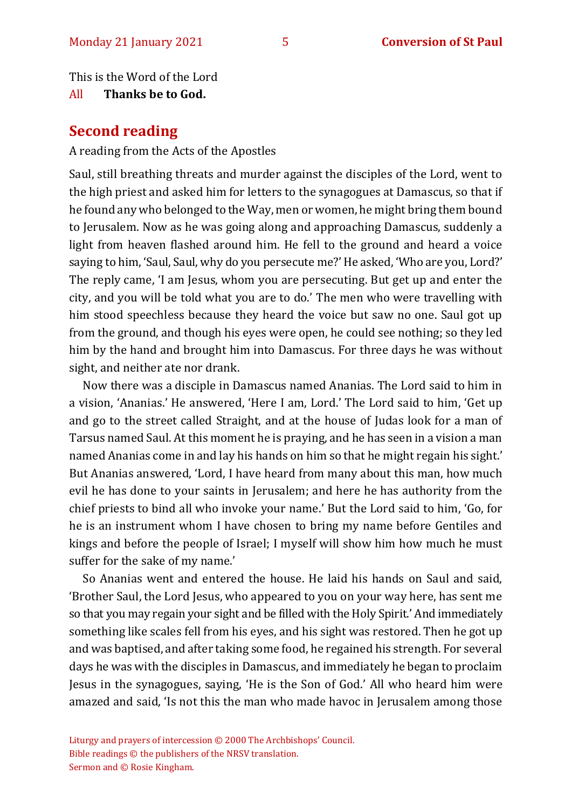This is the Word of the Lord

#### All **Thanks be to God.**

#### **Second reading**

A reading from the Acts of the Apostles

Saul, still breathing threats and murder against the disciples of the Lord, went to the high priest and asked him for letters to the synagogues at Damascus, so that if he found any who belonged to the Way, men or women, he might bring them bound to Jerusalem. Now as he was going along and approaching Damascus, suddenly a light from heaven flashed around him. He fell to the ground and heard a voice saying to him, 'Saul, Saul, why do you persecute me?' He asked, 'Who are you, Lord?' The reply came, 'I am Jesus, whom you are persecuting. But get up and enter the city, and you will be told what you are to do.' The men who were travelling with him stood speechless because they heard the voice but saw no one. Saul got up from the ground, and though his eyes were open, he could see nothing; so they led him by the hand and brought him into Damascus. For three days he was without sight, and neither ate nor drank.

Now there was a disciple in Damascus named Ananias. The Lord said to him in a vision, 'Ananias.' He answered, 'Here I am, Lord.' The Lord said to him, 'Get up and go to the street called Straight, and at the house of Judas look for a man of Tarsus named Saul. At this moment he is praying, and he has seen in a vision a man named Ananias come in and lay his hands on him so that he might regain his sight.' But Ananias answered, 'Lord, I have heard from many about this man, how much evil he has done to your saints in Jerusalem; and here he has authority from the chief priests to bind all who invoke your name.' But the Lord said to him, 'Go, for he is an instrument whom I have chosen to bring my name before Gentiles and kings and before the people of Israel; I myself will show him how much he must suffer for the sake of my name.'

So Ananias went and entered the house. He laid his hands on Saul and said, 'Brother Saul, the Lord Jesus, who appeared to you on your way here, has sent me so that you may regain your sight and be filled with the Holy Spirit.' And immediately something like scales fell from his eyes, and his sight was restored. Then he got up and was baptised, and after taking some food, he regained his strength. For several days he was with the disciples in Damascus, and immediately he began to proclaim Jesus in the synagogues, saying, 'He is the Son of God.' All who heard him were amazed and said, 'Is not this the man who made havoc in Jerusalem among those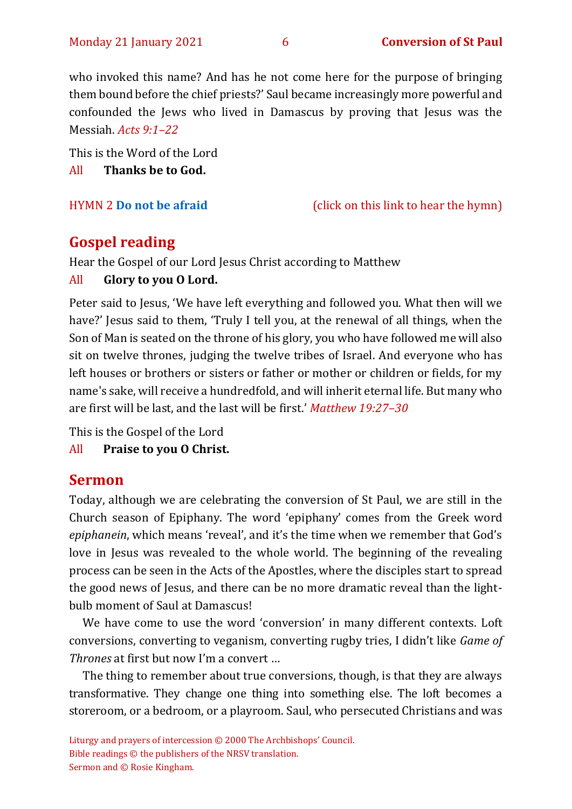who invoked this name? And has he not come here for the purpose of bringing them bound before the chief priests?' Saul became increasingly more powerful and confounded the Jews who lived in Damascus by proving that Jesus was the Messiah. *Acts 9:1–22* 

This is the Word of the Lord All **Thanks be to God.**

HYMN 2 **[Do not be afraid](https://www.youtube.com/watch?v=v2rO0LhSWJ0)** (click on this link to hear the hymn)

# **Gospel reading**

Hear the Gospel of our Lord Jesus Christ according to Matthew

#### All **Glory to you O Lord.**

Peter said to Jesus, 'We have left everything and followed you. What then will we have?' Jesus said to them, 'Truly I tell you, at the renewal of all things, when the Son of Man is seated on the throne of his glory, you who have followed me will also sit on twelve thrones, judging the twelve tribes of Israel. And everyone who has left houses or brothers or sisters or father or mother or children or fields, for my name's sake, will receive a hundredfold, and will inherit eternal life. But many who are first will be last, and the last will be first.' *Matthew 19:27–30* 

This is the Gospel of the Lord

All **Praise to you O Christ.** 

# **Sermon**

Today, although we are celebrating the conversion of St Paul, we are still in the Church season of Epiphany. The word 'epiphany' comes from the Greek word *epiphanein*, which means 'reveal', and it's the time when we remember that God's love in Jesus was revealed to the whole world. The beginning of the revealing process can be seen in the Acts of the Apostles, where the disciples start to spread the good news of Jesus, and there can be no more dramatic reveal than the lightbulb moment of Saul at Damascus!

We have come to use the word 'conversion' in many different contexts. Loft conversions, converting to veganism, converting rugby tries, I didn't like *Game of Thrones* at first but now I'm a convert …

The thing to remember about true conversions, though, is that they are always transformative. They change one thing into something else. The loft becomes a storeroom, or a bedroom, or a playroom. Saul, who persecuted Christians and was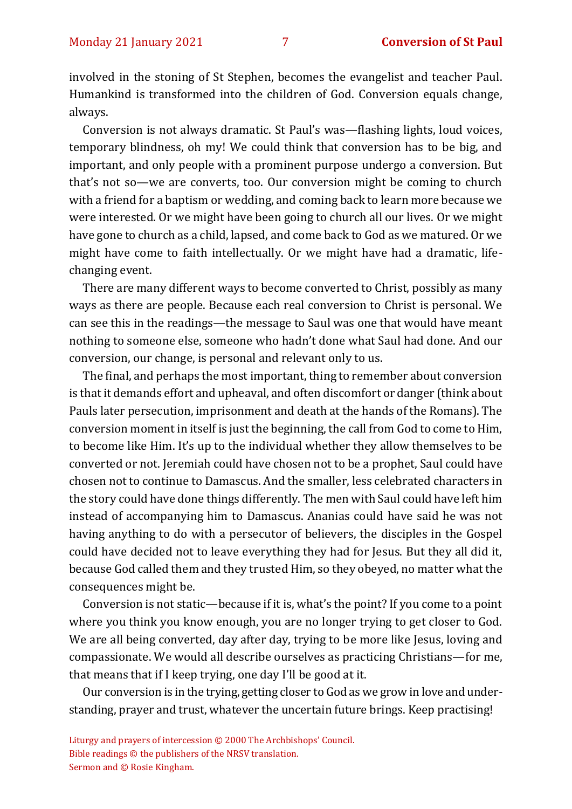involved in the stoning of St Stephen, becomes the evangelist and teacher Paul. Humankind is transformed into the children of God. Conversion equals change, always.

Conversion is not always dramatic. St Paul's was—flashing lights, loud voices, temporary blindness, oh my! We could think that conversion has to be big, and important, and only people with a prominent purpose undergo a conversion. But that's not so—we are converts, too. Our conversion might be coming to church with a friend for a baptism or wedding, and coming back to learn more because we were interested. Or we might have been going to church all our lives. Or we might have gone to church as a child, lapsed, and come back to God as we matured. Or we might have come to faith intellectually. Or we might have had a dramatic, lifechanging event.

There are many different ways to become converted to Christ, possibly as many ways as there are people. Because each real conversion to Christ is personal. We can see this in the readings—the message to Saul was one that would have meant nothing to someone else, someone who hadn't done what Saul had done. And our conversion, our change, is personal and relevant only to us.

The final, and perhaps the most important, thing to remember about conversion is that it demands effort and upheaval, and often discomfort or danger (think about Pauls later persecution, imprisonment and death at the hands of the Romans). The conversion moment in itself is just the beginning, the call from God to come to Him, to become like Him. It's up to the individual whether they allow themselves to be converted or not. Jeremiah could have chosen not to be a prophet, Saul could have chosen not to continue to Damascus. And the smaller, less celebrated characters in the story could have done things differently. The men with Saul could have left him instead of accompanying him to Damascus. Ananias could have said he was not having anything to do with a persecutor of believers, the disciples in the Gospel could have decided not to leave everything they had for Jesus. But they all did it, because God called them and they trusted Him, so they obeyed, no matter what the consequences might be.

Conversion is not static—because if it is, what's the point? If you come to a point where you think you know enough, you are no longer trying to get closer to God. We are all being converted, day after day, trying to be more like Jesus, loving and compassionate. We would all describe ourselves as practicing Christians—for me, that means that if I keep trying, one day I'll be good at it.

Our conversion is in the trying, getting closer to God as we grow in love and understanding, prayer and trust, whatever the uncertain future brings. Keep practising!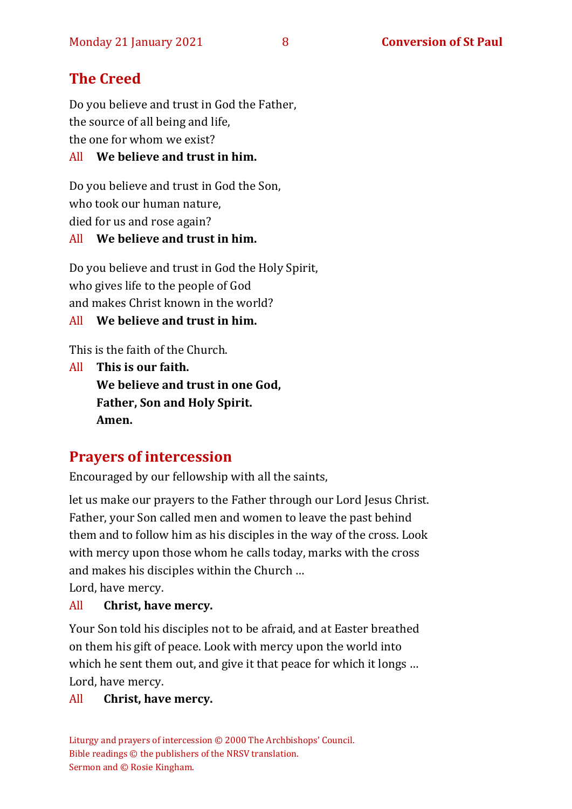# **The Creed**

Do you believe and trust in God the Father, the source of all being and life, the one for whom we exist?

#### All **We believe and trust in him.**

Do you believe and trust in God the Son, who took our human nature, died for us and rose again? All **We believe and trust in him.**

Do you believe and trust in God the Holy Spirit, who gives life to the people of God and makes Christ known in the world?

All **We believe and trust in him.**

This is the faith of the Church.

All **This is our faith. We believe and trust in one God, Father, Son and Holy Spirit. Amen.**

# **Prayers of intercession**

Encouraged by our fellowship with all the saints,

let us make our prayers to the Father through our Lord Jesus Christ. Father, your Son called men and women to leave the past behind them and to follow him as his disciples in the way of the cross. Look with mercy upon those whom he calls today, marks with the cross and makes his disciples within the Church …

Lord, have mercy.

#### All **Christ, have mercy.**

Your Son told his disciples not to be afraid, and at Easter breathed on them his gift of peace. Look with mercy upon the world into which he sent them out, and give it that peace for which it longs … Lord, have mercy.

#### All **Christ, have mercy.**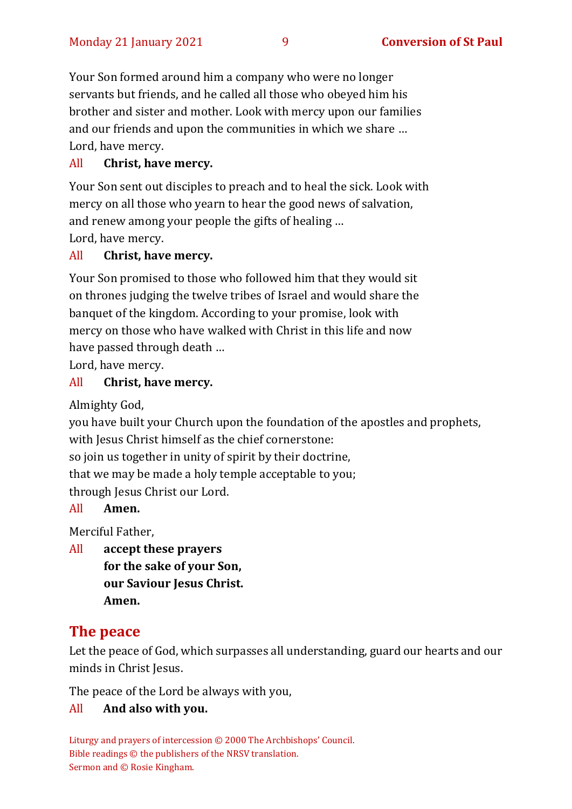Your Son formed around him a company who were no longer servants but friends, and he called all those who obeyed him his brother and sister and mother. Look with mercy upon our families and our friends and upon the communities in which we share … Lord, have mercy.

#### All **Christ, have mercy.**

Your Son sent out disciples to preach and to heal the sick. Look with mercy on all those who yearn to hear the good news of salvation, and renew among your people the gifts of healing …

Lord, have mercy.

#### All **Christ, have mercy.**

Your Son promised to those who followed him that they would sit on thrones judging the twelve tribes of Israel and would share the banquet of the kingdom. According to your promise, look with mercy on those who have walked with Christ in this life and now have passed through death …

Lord, have mercy.

#### All **Christ, have mercy.**

Almighty God,

you have built your Church upon the foundation of the apostles and prophets, with Jesus Christ himself as the chief cornerstone:

so join us together in unity of spirit by their doctrine,

that we may be made a holy temple acceptable to you;

through Jesus Christ our Lord.

#### All **Amen.**

Merciful Father,

All **accept these prayers for the sake of your Son, our Saviour Jesus Christ. Amen.**

# **The peace**

Let the peace of God, which surpasses all understanding, guard our hearts and our minds in Christ Jesus.

The peace of the Lord be always with you,

#### All **And also with you.**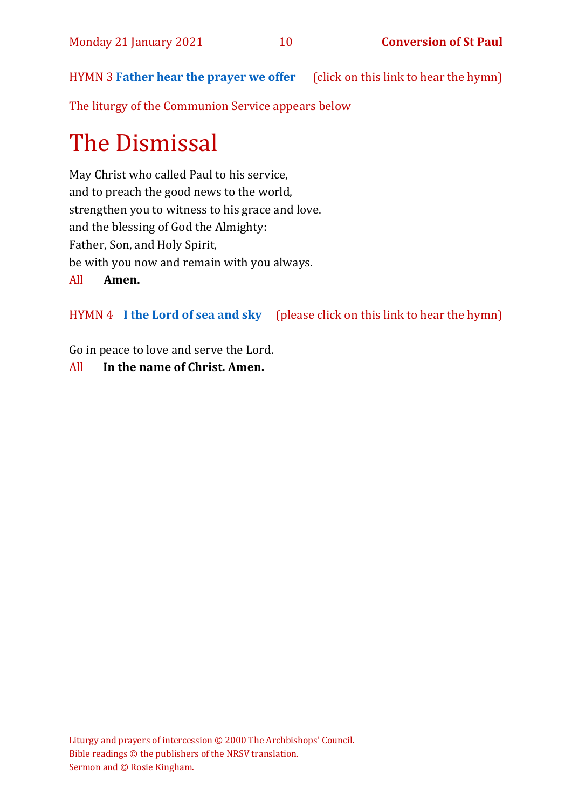HYMN 3 **[Father hear the prayer we offer](https://www.youtube.com/watch?v=CFoactKMJHQ)** (click on this link to hear the hymn)

The liturgy of the Communion Service appears below

# The Dismissal

May Christ who called Paul to his service, and to preach the good news to the world, strengthen you to witness to his grace and love. and the blessing of God the Almighty: Father, Son, and Holy Spirit, be with you now and remain with you always. All **Amen.**

HYMN 4 **[I the Lord of sea and sky](https://youtu.be/EcxOkht8w7c)** (please click on this link to hear the hymn)

Go in peace to love and serve the Lord.

All **In the name of Christ. Amen.**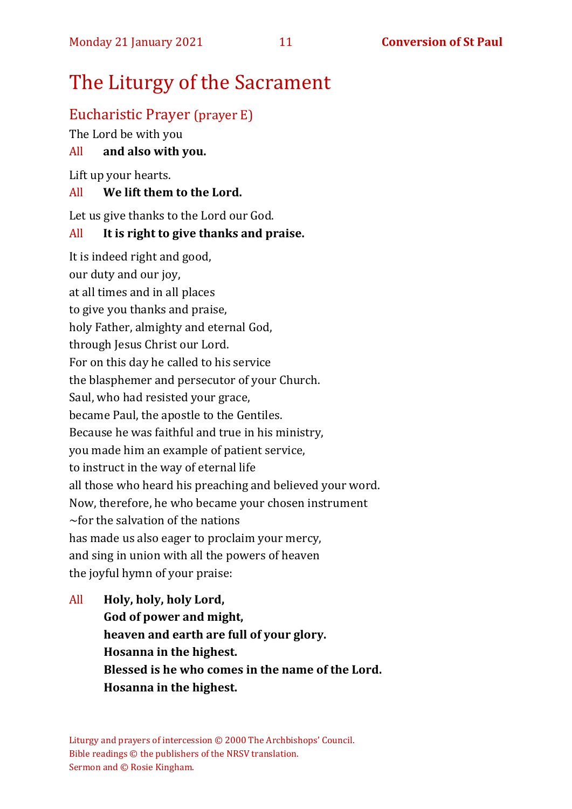# The Liturgy of the Sacrament

# Eucharistic Prayer (prayer E)

The Lord be with you

#### All **and also with you.**

Lift up your hearts.

#### All **We lift them to the Lord.**

Let us give thanks to the Lord our God.

#### All **It is right to give thanks and praise.**

It is indeed right and good, our duty and our joy, at all times and in all places to give you thanks and praise, holy Father, almighty and eternal God, through Jesus Christ our Lord. For on this day he called to his service the blasphemer and persecutor of your Church. Saul, who had resisted your grace, became Paul, the apostle to the Gentiles. Because he was faithful and true in his ministry, you made him an example of patient service, to instruct in the way of eternal life all those who heard his preaching and believed your word. Now, therefore, he who became your chosen instrument  $\sim$  for the salvation of the nations has made us also eager to proclaim your mercy, and sing in union with all the powers of heaven the joyful hymn of your praise:

All **Holy, holy, holy Lord, God of power and might, heaven and earth are full of your glory. Hosanna in the highest. Blessed is he who comes in the name of the Lord. Hosanna in the highest.**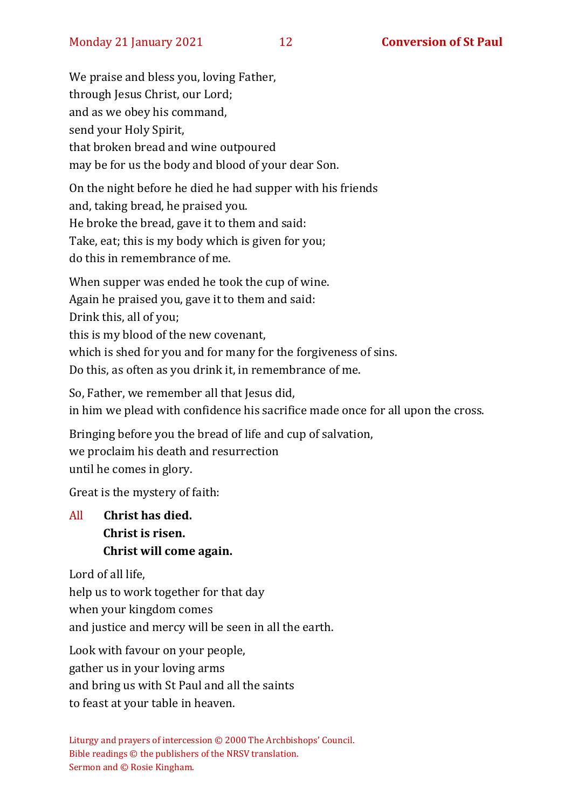We praise and bless you, loving Father, through Jesus Christ, our Lord; and as we obey his command, send your Holy Spirit, that broken bread and wine outpoured may be for us the body and blood of your dear Son.

On the night before he died he had supper with his friends and, taking bread, he praised you. He broke the bread, gave it to them and said: Take, eat; this is my body which is given for you; do this in remembrance of me.

When supper was ended he took the cup of wine. Again he praised you, gave it to them and said: Drink this, all of you; this is my blood of the new covenant, which is shed for you and for many for the forgiveness of sins. Do this, as often as you drink it, in remembrance of me.

So, Father, we remember all that Jesus did, in him we plead with confidence his sacrifice made once for all upon the cross.

Bringing before you the bread of life and cup of salvation, we proclaim his death and resurrection until he comes in glory.

Great is the mystery of faith:

#### All **Christ has died. Christ is risen. Christ will come again.**

Lord of all life,

help us to work together for that day

when your kingdom comes

and justice and mercy will be seen in all the earth.

Look with favour on your people, gather us in your loving arms

and bring us with St Paul and all the saints

to feast at your table in heaven.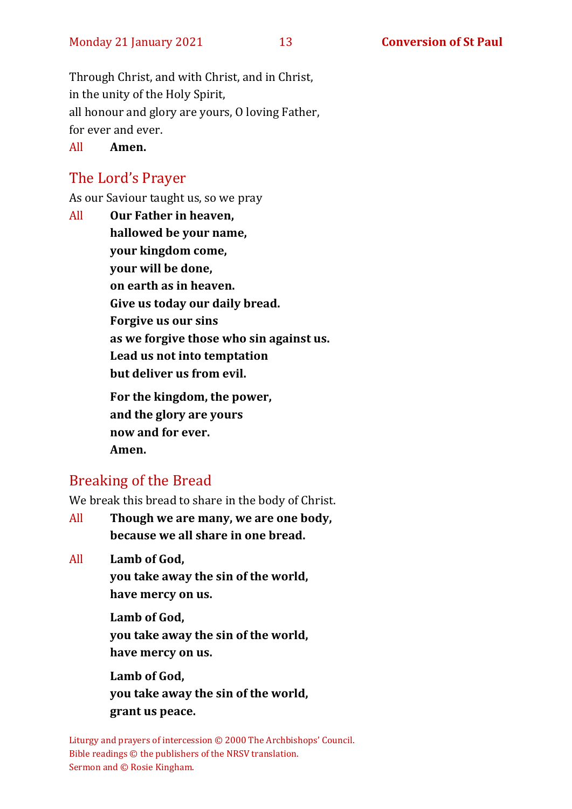Through Christ, and with Christ, and in Christ, in the unity of the Holy Spirit, all honour and glory are yours, O loving Father, for ever and ever.

All **Amen.**

# The Lord's Prayer

As our Saviour taught us, so we pray

All **Our Father in heaven, hallowed be your name, your kingdom come, your will be done, on earth as in heaven. Give us today our daily bread. Forgive us our sins as we forgive those who sin against us. Lead us not into temptation but deliver us from evil. For the kingdom, the power, and the glory are yours now and for ever.** 

**Amen.**

# Breaking of the Bread

We break this bread to share in the body of Christ.

All **Though we are many, we are one body, because we all share in one bread.**

All **Lamb of God,**

**you take away the sin of the world, have mercy on us.**

**Lamb of God, you take away the sin of the world, have mercy on us.**

**Lamb of God,** 

**you take away the sin of the world, grant us peace.**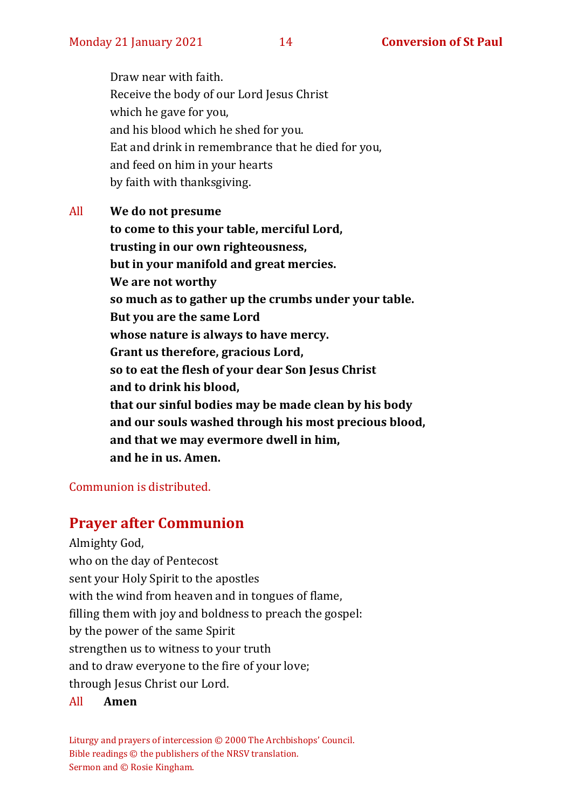Draw near with faith. Receive the body of our Lord Jesus Christ which he gave for you, and his blood which he shed for you. Eat and drink in remembrance that he died for you, and feed on him in your hearts by faith with thanksgiving.

All **We do not presume to come to this your table, merciful Lord, trusting in our own righteousness, but in your manifold and great mercies. We are not worthy so much as to gather up the crumbs under your table. But you are the same Lord whose nature is always to have mercy. Grant us therefore, gracious Lord, so to eat the flesh of your dear Son Jesus Christ and to drink his blood, that our sinful bodies may be made clean by his body and our souls washed through his most precious blood, and that we may evermore dwell in him, and he in us. Amen.**

Communion is distributed.

# **Prayer after Communion**

Almighty God, who on the day of Pentecost sent your Holy Spirit to the apostles with the wind from heaven and in tongues of flame, filling them with joy and boldness to preach the gospel: by the power of the same Spirit strengthen us to witness to your truth and to draw everyone to the fire of your love; through Jesus Christ our Lord.

#### All **Amen**